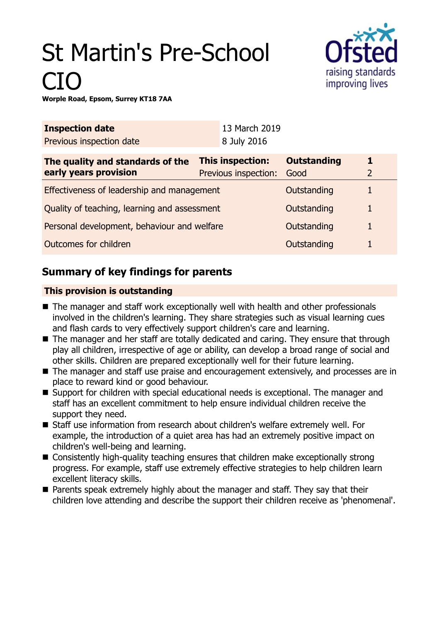# St Martin's Pre-School CIO



**Worple Road, Epsom, Surrey KT18 7AA**

| <b>Inspection date</b>                       |                  | 13 March 2019        |                    |   |
|----------------------------------------------|------------------|----------------------|--------------------|---|
| Previous inspection date                     |                  | 8 July 2016          |                    |   |
| The quality and standards of the             | This inspection: |                      | <b>Outstanding</b> |   |
| early years provision                        |                  | Previous inspection: | Good               | 2 |
| Effectiveness of leadership and management   |                  |                      | Outstanding        |   |
| Quality of teaching, learning and assessment |                  |                      | Outstanding        | 1 |
| Personal development, behaviour and welfare  |                  |                      | Outstanding        |   |
| Outcomes for children                        |                  |                      | Outstanding        |   |

# **Summary of key findings for parents**

## **This provision is outstanding**

- The manager and staff work exceptionally well with health and other professionals involved in the children's learning. They share strategies such as visual learning cues and flash cards to very effectively support children's care and learning.
- The manager and her staff are totally dedicated and caring. They ensure that through play all children, irrespective of age or ability, can develop a broad range of social and other skills. Children are prepared exceptionally well for their future learning.
- $\blacksquare$  The manager and staff use praise and encouragement extensively, and processes are in place to reward kind or good behaviour.
- Support for children with special educational needs is exceptional. The manager and staff has an excellent commitment to help ensure individual children receive the support they need.
- Staff use information from research about children's welfare extremely well. For example, the introduction of a quiet area has had an extremely positive impact on children's well-being and learning.
- $\blacksquare$  Consistently high-quality teaching ensures that children make exceptionally strong progress. For example, staff use extremely effective strategies to help children learn excellent literacy skills.
- $\blacksquare$  Parents speak extremely highly about the manager and staff. They say that their children love attending and describe the support their children receive as 'phenomenal'.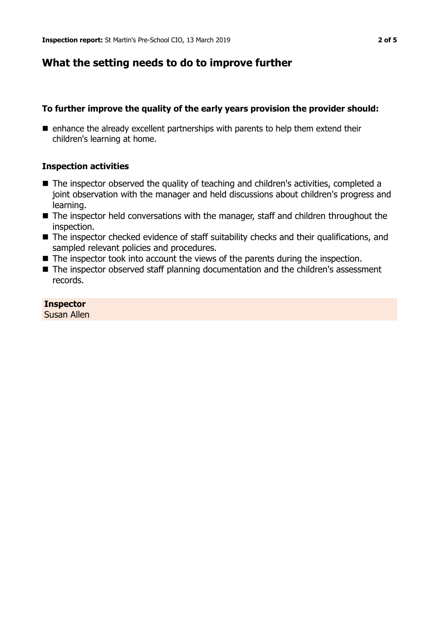## **What the setting needs to do to improve further**

## **To further improve the quality of the early years provision the provider should:**

 $\blacksquare$  enhance the already excellent partnerships with parents to help them extend their children's learning at home.

## **Inspection activities**

- The inspector observed the quality of teaching and children's activities, completed a joint observation with the manager and held discussions about children's progress and learning.
- The inspector held conversations with the manager, staff and children throughout the inspection.
- The inspector checked evidence of staff suitability checks and their qualifications, and sampled relevant policies and procedures.
- $\blacksquare$  The inspector took into account the views of the parents during the inspection.
- The inspector observed staff planning documentation and the children's assessment records.

#### **Inspector**

Susan Allen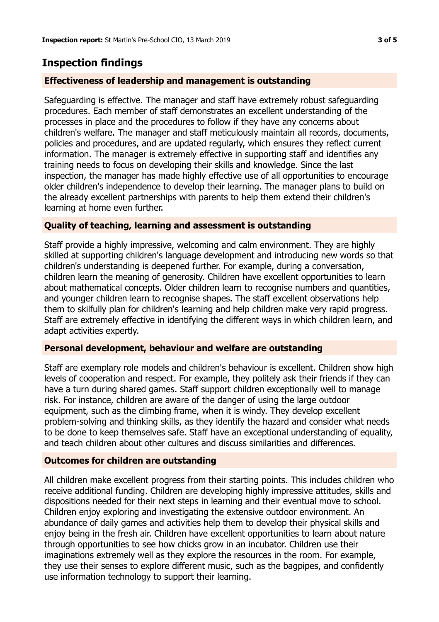## **Inspection findings**

## **Effectiveness of leadership and management is outstanding**

Safeguarding is effective. The manager and staff have extremely robust safeguarding procedures. Each member of staff demonstrates an excellent understanding of the processes in place and the procedures to follow if they have any concerns about children's welfare. The manager and staff meticulously maintain all records, documents, policies and procedures, and are updated regularly, which ensures they reflect current information. The manager is extremely effective in supporting staff and identifies any training needs to focus on developing their skills and knowledge. Since the last inspection, the manager has made highly effective use of all opportunities to encourage older children's independence to develop their learning. The manager plans to build on the already excellent partnerships with parents to help them extend their children's learning at home even further.

## **Quality of teaching, learning and assessment is outstanding**

Staff provide a highly impressive, welcoming and calm environment. They are highly skilled at supporting children's language development and introducing new words so that children's understanding is deepened further. For example, during a conversation, children learn the meaning of generosity. Children have excellent opportunities to learn about mathematical concepts. Older children learn to recognise numbers and quantities, and younger children learn to recognise shapes. The staff excellent observations help them to skilfully plan for children's learning and help children make very rapid progress. Staff are extremely effective in identifying the different ways in which children learn, and adapt activities expertly.

#### **Personal development, behaviour and welfare are outstanding**

Staff are exemplary role models and children's behaviour is excellent. Children show high levels of cooperation and respect. For example, they politely ask their friends if they can have a turn during shared games. Staff support children exceptionally well to manage risk. For instance, children are aware of the danger of using the large outdoor equipment, such as the climbing frame, when it is windy. They develop excellent problem-solving and thinking skills, as they identify the hazard and consider what needs to be done to keep themselves safe. Staff have an exceptional understanding of equality, and teach children about other cultures and discuss similarities and differences.

## **Outcomes for children are outstanding**

All children make excellent progress from their starting points. This includes children who receive additional funding. Children are developing highly impressive attitudes, skills and dispositions needed for their next steps in learning and their eventual move to school. Children enjoy exploring and investigating the extensive outdoor environment. An abundance of daily games and activities help them to develop their physical skills and enjoy being in the fresh air. Children have excellent opportunities to learn about nature through opportunities to see how chicks grow in an incubator. Children use their imaginations extremely well as they explore the resources in the room. For example, they use their senses to explore different music, such as the bagpipes, and confidently use information technology to support their learning.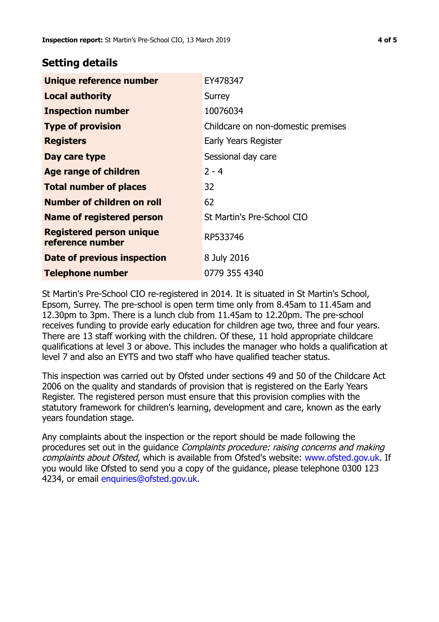## **Setting details**

| Unique reference number                             | EY478347                           |  |
|-----------------------------------------------------|------------------------------------|--|
| <b>Local authority</b>                              | Surrey                             |  |
| <b>Inspection number</b>                            | 10076034                           |  |
| <b>Type of provision</b>                            | Childcare on non-domestic premises |  |
| <b>Registers</b>                                    | Early Years Register               |  |
| Day care type                                       | Sessional day care                 |  |
| Age range of children                               | $2 - 4$                            |  |
| <b>Total number of places</b>                       | 32                                 |  |
| Number of children on roll                          | 62                                 |  |
| Name of registered person                           | St Martin's Pre-School CIO         |  |
| <b>Registered person unique</b><br>reference number | RP533746                           |  |
| Date of previous inspection                         | 8 July 2016                        |  |
| <b>Telephone number</b>                             | 0779 355 4340                      |  |

St Martin's Pre-School CIO re-registered in 2014. It is situated in St Martin's School, Epsom, Surrey. The pre-school is open term time only from 8.45am to 11.45am and 12.30pm to 3pm. There is a lunch club from 11.45am to 12.20pm. The pre-school receives funding to provide early education for children age two, three and four years. There are 13 staff working with the children. Of these, 11 hold appropriate childcare qualifications at level 3 or above. This includes the manager who holds a qualification at level 7 and also an EYTS and two staff who have qualified teacher status.

This inspection was carried out by Ofsted under sections 49 and 50 of the Childcare Act 2006 on the quality and standards of provision that is registered on the Early Years Register. The registered person must ensure that this provision complies with the statutory framework for children's learning, development and care, known as the early years foundation stage.

Any complaints about the inspection or the report should be made following the procedures set out in the guidance Complaints procedure: raising concerns and making complaints about Ofsted, which is available from Ofsted's website: www.ofsted.gov.uk. If you would like Ofsted to send you a copy of the guidance, please telephone 0300 123 4234, or email [enquiries@ofsted.gov.uk.](mailto:enquiries@ofsted.gov.uk)